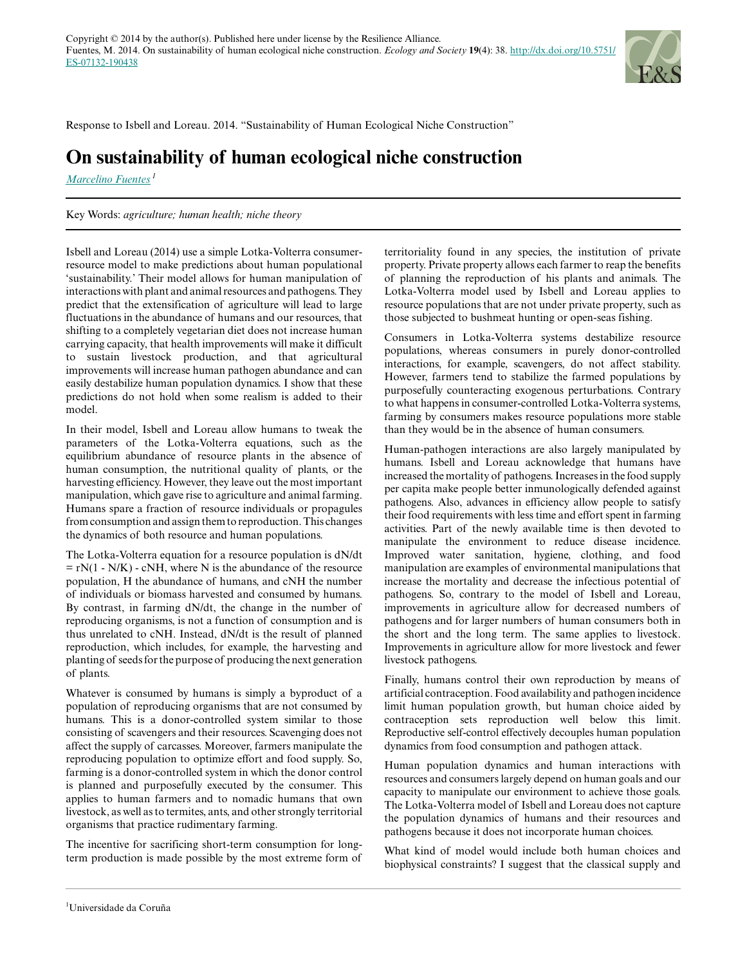

Response to Isbell and Loreau. 2014. "Sustainability of Human Ecological Niche Construction"

## **On sustainability of human ecological niche construction**

*[Marcelino Fuentes](mailto:marcelinofuentes@gmail.com)<sup>1</sup>*

## Key Words: *agriculture; human health; niche theory*

Isbell and Loreau (2014) use a simple Lotka-Volterra consumerresource model to make predictions about human populational 'sustainability.' Their model allows for human manipulation of interactions with plant and animal resources and pathogens. They predict that the extensification of agriculture will lead to large fluctuations in the abundance of humans and our resources, that shifting to a completely vegetarian diet does not increase human carrying capacity, that health improvements will make it difficult to sustain livestock production, and that agricultural improvements will increase human pathogen abundance and can easily destabilize human population dynamics. I show that these predictions do not hold when some realism is added to their model.

In their model, Isbell and Loreau allow humans to tweak the parameters of the Lotka-Volterra equations, such as the equilibrium abundance of resource plants in the absence of human consumption, the nutritional quality of plants, or the harvesting efficiency. However, they leave out the most important manipulation, which gave rise to agriculture and animal farming. Humans spare a fraction of resource individuals or propagules from consumption and assign them to reproduction. This changes the dynamics of both resource and human populations.

The Lotka-Volterra equation for a resource population is dN/dt  $= rN(1 - N/K) - cNH$ , where N is the abundance of the resource population, H the abundance of humans, and cNH the number of individuals or biomass harvested and consumed by humans. By contrast, in farming dN/dt, the change in the number of reproducing organisms, is not a function of consumption and is thus unrelated to cNH. Instead, dN/dt is the result of planned reproduction, which includes, for example, the harvesting and planting of seeds for the purpose of producing the next generation of plants.

Whatever is consumed by humans is simply a byproduct of a population of reproducing organisms that are not consumed by humans. This is a donor-controlled system similar to those consisting of scavengers and their resources. Scavenging does not affect the supply of carcasses. Moreover, farmers manipulate the reproducing population to optimize effort and food supply. So, farming is a donor-controlled system in which the donor control is planned and purposefully executed by the consumer. This applies to human farmers and to nomadic humans that own livestock, as well as to termites, ants, and other strongly territorial organisms that practice rudimentary farming.

The incentive for sacrificing short-term consumption for longterm production is made possible by the most extreme form of territoriality found in any species, the institution of private property. Private property allows each farmer to reap the benefits of planning the reproduction of his plants and animals. The Lotka-Volterra model used by Isbell and Loreau applies to resource populations that are not under private property, such as those subjected to bushmeat hunting or open-seas fishing.

Consumers in Lotka-Volterra systems destabilize resource populations, whereas consumers in purely donor-controlled interactions, for example, scavengers, do not affect stability. However, farmers tend to stabilize the farmed populations by purposefully counteracting exogenous perturbations. Contrary to what happens in consumer-controlled Lotka-Volterra systems, farming by consumers makes resource populations more stable than they would be in the absence of human consumers.

Human-pathogen interactions are also largely manipulated by humans. Isbell and Loreau acknowledge that humans have increased the mortality of pathogens. Increases in the food supply per capita make people better inmunologically defended against pathogens. Also, advances in efficiency allow people to satisfy their food requirements with less time and effort spent in farming activities. Part of the newly available time is then devoted to manipulate the environment to reduce disease incidence. Improved water sanitation, hygiene, clothing, and food manipulation are examples of environmental manipulations that increase the mortality and decrease the infectious potential of pathogens. So, contrary to the model of Isbell and Loreau, improvements in agriculture allow for decreased numbers of pathogens and for larger numbers of human consumers both in the short and the long term. The same applies to livestock. Improvements in agriculture allow for more livestock and fewer livestock pathogens.

Finally, humans control their own reproduction by means of artificial contraception. Food availability and pathogen incidence limit human population growth, but human choice aided by contraception sets reproduction well below this limit. Reproductive self-control effectively decouples human population dynamics from food consumption and pathogen attack.

Human population dynamics and human interactions with resources and consumers largely depend on human goals and our capacity to manipulate our environment to achieve those goals. The Lotka-Volterra model of Isbell and Loreau does not capture the population dynamics of humans and their resources and pathogens because it does not incorporate human choices.

What kind of model would include both human choices and biophysical constraints? I suggest that the classical supply and